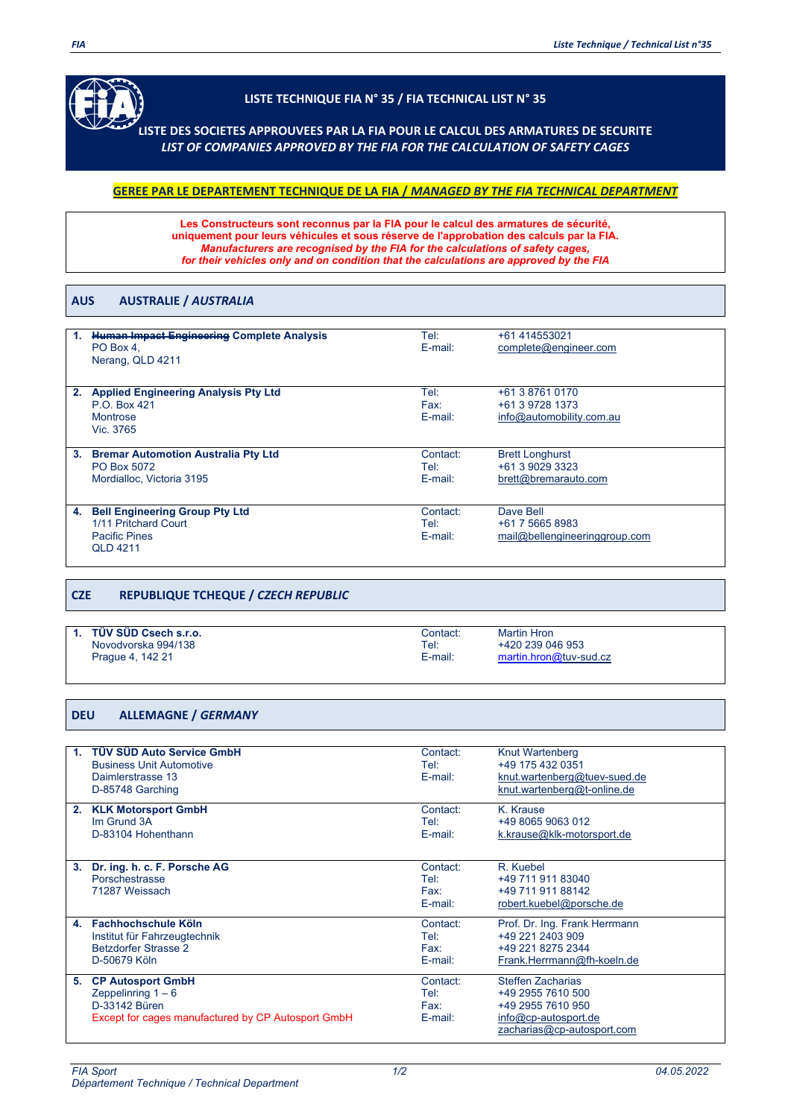

## **LISTE TECHNIQUE FIA N° 35 / FIA TECHNICAL LIST N° 35**

**LISTE DES SOCIETES APPROUVEES PAR LA FIA POUR LE CALCUL DES ARMATURES DE SECURITE** *LIST OF COMPANIES APPROVED BY THE FIA FOR THE CALCULATION OF SAFETY CAGES*

## **GEREE PAR LE DEPARTEMENT TECHNIQUE DE LA FIA /** *MANAGED BY THE FIA TECHNICAL DEPARTMENT*

**Les Constructeurs sont reconnus par la FIA pour le calcul des armatures de sécurité, uniquement pour leurs véhicules et sous réserve de l'approbation des calculs par la FIA.**  *Manufacturers are recognised by the FIA for the calculations of safety cages, for their vehicles only and on condition that the calculations are approved by the FIA*

#### **AUS AUSTRALIE /** *AUSTRALIA*

|    | <b>Human Impact Engineering Complete Analysis</b><br>PO Box 4.<br>Nerang, QLD 4211                       | Tel:<br>E-mail:                | +61 414553021<br>complete@engineer.com                            |
|----|----------------------------------------------------------------------------------------------------------|--------------------------------|-------------------------------------------------------------------|
| 2. | <b>Applied Engineering Analysis Pty Ltd</b><br>P.O. Box 421<br>Montrose<br>Vic. 3765                     | Tel:<br>Fax:<br>E-mail:        | +61 3 8761 0170<br>+61 3 9728 1373<br>info@automobility.com.au    |
| 3. | <b>Bremar Automotion Australia Pty Ltd</b><br>PO Box 5072<br>Mordialloc. Victoria 3195                   | Contact:<br>Tel:<br>$E$ -mail: | <b>Brett Longhurst</b><br>+61 3 9029 3323<br>brett@bremarauto.com |
| 4. | <b>Bell Engineering Group Pty Ltd</b><br>1/11 Pritchard Court<br><b>Pacific Pines</b><br><b>QLD 4211</b> | Contact:<br>Tel:<br>E-mail:    | Dave Bell<br>+61 7 5665 8983<br>mail@bellengineeringgroup.com     |

### **CZE REPUBLIQUE TCHEQUE /** *CZECH REPUBLIC*

| TÜV SÜD Csech s.r.o. | Contact: | <b>Martin Hron</b>     |
|----------------------|----------|------------------------|
| Novodvorska 994/138  | Tel:     | +420 239 046 953       |
| Prague 4, 142 21     | E-mail:  | martin.hron@tuv-sud.cz |

### **DEU ALLEMAGNE /** *GERMANY*

| $\mathbf{1}$ | <b>TÜV SÜD Auto Service GmbH</b><br><b>Business Unit Automotive</b> | Contact:<br>Tel: | <b>Knut Wartenberg</b><br>+49 175 432 0351 |
|--------------|---------------------------------------------------------------------|------------------|--------------------------------------------|
|              | Daimlerstrasse 13                                                   | E-mail:          | knut.wartenberg@tuev-sued.de               |
|              | D-85748 Garching                                                    |                  | knut.wartenberg@t-online.de                |
| 2.           | <b>KLK Motorsport GmbH</b>                                          | Contact:         | K. Krause                                  |
|              | Im Grund 3A                                                         | Tel:             | +49 8065 9063 012                          |
|              | D-83104 Hohenthann                                                  | E-mail:          | k.krause@klk-motorsport.de                 |
|              |                                                                     |                  |                                            |
| 3.           | Dr. ing. h. c. F. Porsche AG                                        | Contact:         | R. Kuebel                                  |
|              | Porschestrasse                                                      | Tel:             | +49 711 911 83040                          |
|              | 71287 Weissach                                                      | Fax:             | +49 711 911 88142                          |
|              |                                                                     | E-mail:          | robert.kuebel@porsche.de                   |
| 4.           | Fachhochschule Köln                                                 | Contact:         | Prof. Dr. Ing. Frank Herrmann              |
|              | Institut für Fahrzeugtechnik                                        | Tel:             | +49 221 2403 909                           |
|              | <b>Betzdorfer Strasse 2</b>                                         | Fax:             | +49 221 8275 2344                          |
|              | D-50679 Köln                                                        | E-mail:          | Frank.Herrmann@fh-koeln.de                 |
| 5.           | <b>CP Autosport GmbH</b>                                            | Contact:         | Steffen Zacharias                          |
|              | Zeppelinring $1 - 6$                                                | Tel:             | +49 2955 7610 500                          |
|              | D-33142 Büren                                                       | Fax:             | +49 2955 7610 950                          |
|              | Except for cages manufactured by CP Autosport GmbH                  | $E$ -mail:       | info@cp-autosport.de                       |
|              |                                                                     |                  | zacharias@cp-autosport.com                 |